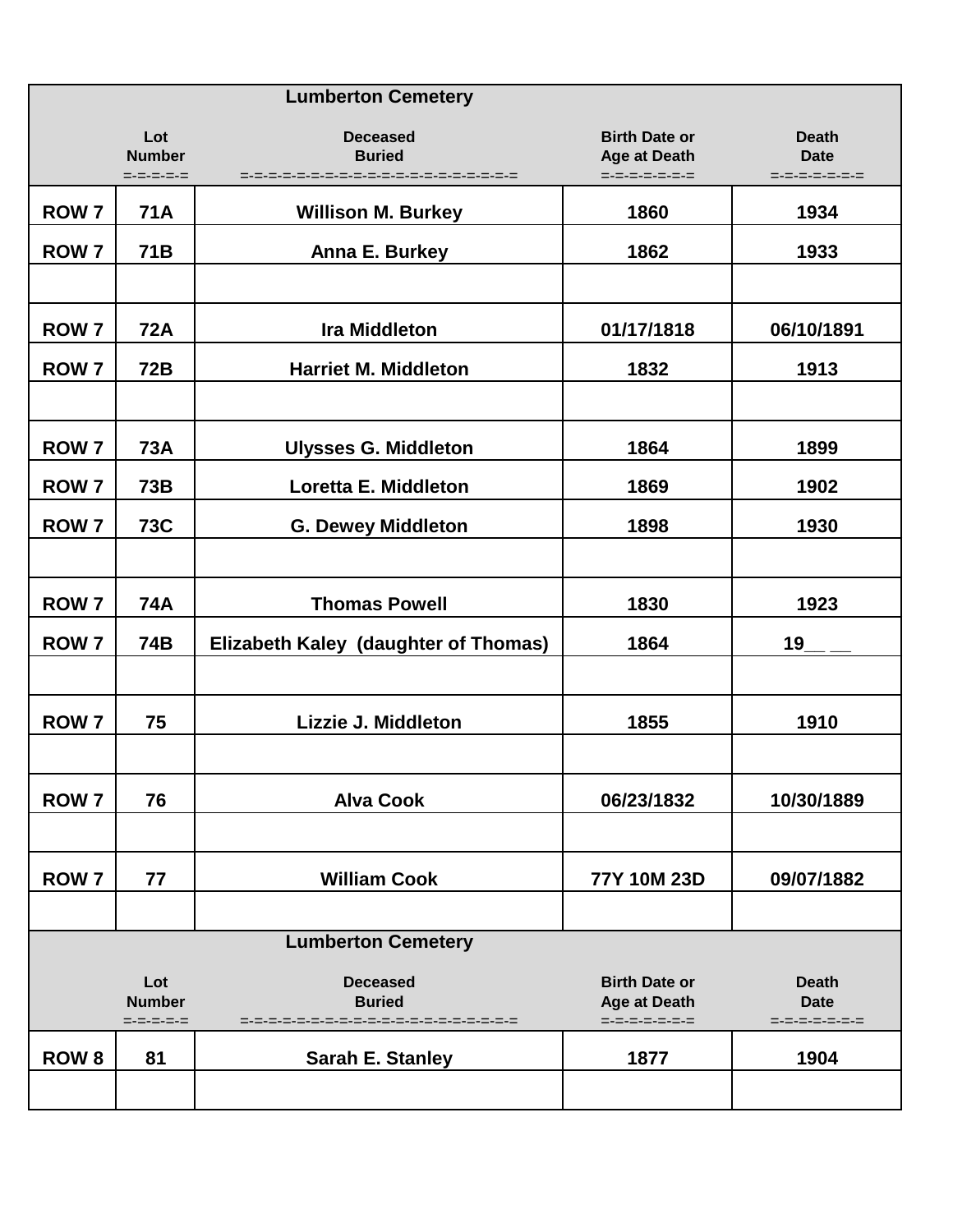|                           |                                   | <b>Lumberton Cemetery</b>            |                                                              |                                              |  |
|---------------------------|-----------------------------------|--------------------------------------|--------------------------------------------------------------|----------------------------------------------|--|
|                           | Lot<br><b>Number</b><br>=-=-=-=-= | <b>Deceased</b><br><b>Buried</b>     | <b>Birth Date or</b><br><b>Age at Death</b><br>=-=-=-=-=-=-= | <b>Death</b><br><b>Date</b><br>=-=-=-=-=-=-= |  |
| <b>ROW 7</b>              | <b>71A</b>                        | <b>Willison M. Burkey</b>            | 1860                                                         | 1934                                         |  |
| <b>ROW 7</b>              | 71B                               | Anna E. Burkey                       | 1862                                                         | 1933                                         |  |
|                           |                                   |                                      |                                                              |                                              |  |
| <b>ROW 7</b>              | <b>72A</b>                        | <b>Ira Middleton</b>                 | 01/17/1818                                                   | 06/10/1891                                   |  |
| <b>ROW 7</b>              | <b>72B</b>                        | <b>Harriet M. Middleton</b>          | 1832                                                         | 1913                                         |  |
|                           |                                   |                                      |                                                              |                                              |  |
| <b>ROW 7</b>              | <b>73A</b>                        | <b>Ulysses G. Middleton</b>          | 1864                                                         | 1899                                         |  |
| <b>ROW 7</b>              | <b>73B</b>                        | Loretta E. Middleton                 | 1869                                                         | 1902                                         |  |
| <b>ROW 7</b>              | <b>73C</b>                        | <b>G. Dewey Middleton</b>            | 1898                                                         | 1930                                         |  |
|                           |                                   |                                      |                                                              |                                              |  |
| ROW <sub>7</sub>          | <b>74A</b>                        | <b>Thomas Powell</b>                 | 1830                                                         | 1923                                         |  |
| <b>ROW 7</b>              | 74B                               | Elizabeth Kaley (daughter of Thomas) | 1864                                                         | 19                                           |  |
|                           |                                   |                                      |                                                              |                                              |  |
| <b>ROW 7</b>              | 75                                | Lizzie J. Middleton                  | 1855                                                         | 1910                                         |  |
|                           |                                   |                                      |                                                              |                                              |  |
| <b>ROW7</b>               | 76                                | <b>Alva Cook</b>                     | 06/23/1832                                                   | 10/30/1889                                   |  |
|                           |                                   |                                      |                                                              |                                              |  |
| ROW <sub>7</sub>          | 77                                | <b>William Cook</b>                  | 77Y 10M 23D                                                  | 09/07/1882                                   |  |
|                           |                                   |                                      |                                                              |                                              |  |
| <b>Lumberton Cemetery</b> |                                   |                                      |                                                              |                                              |  |
|                           | Lot<br><b>Number</b><br>=-=-=-=-= | <b>Deceased</b><br><b>Buried</b>     | <b>Birth Date or</b><br><b>Age at Death</b><br>=-=-=-=-=-=-= | <b>Death</b><br><b>Date</b><br>=-=-=-=-=-=-= |  |
| <b>ROW 8</b>              | 81                                | <b>Sarah E. Stanley</b>              | 1877                                                         | 1904                                         |  |
|                           |                                   |                                      |                                                              |                                              |  |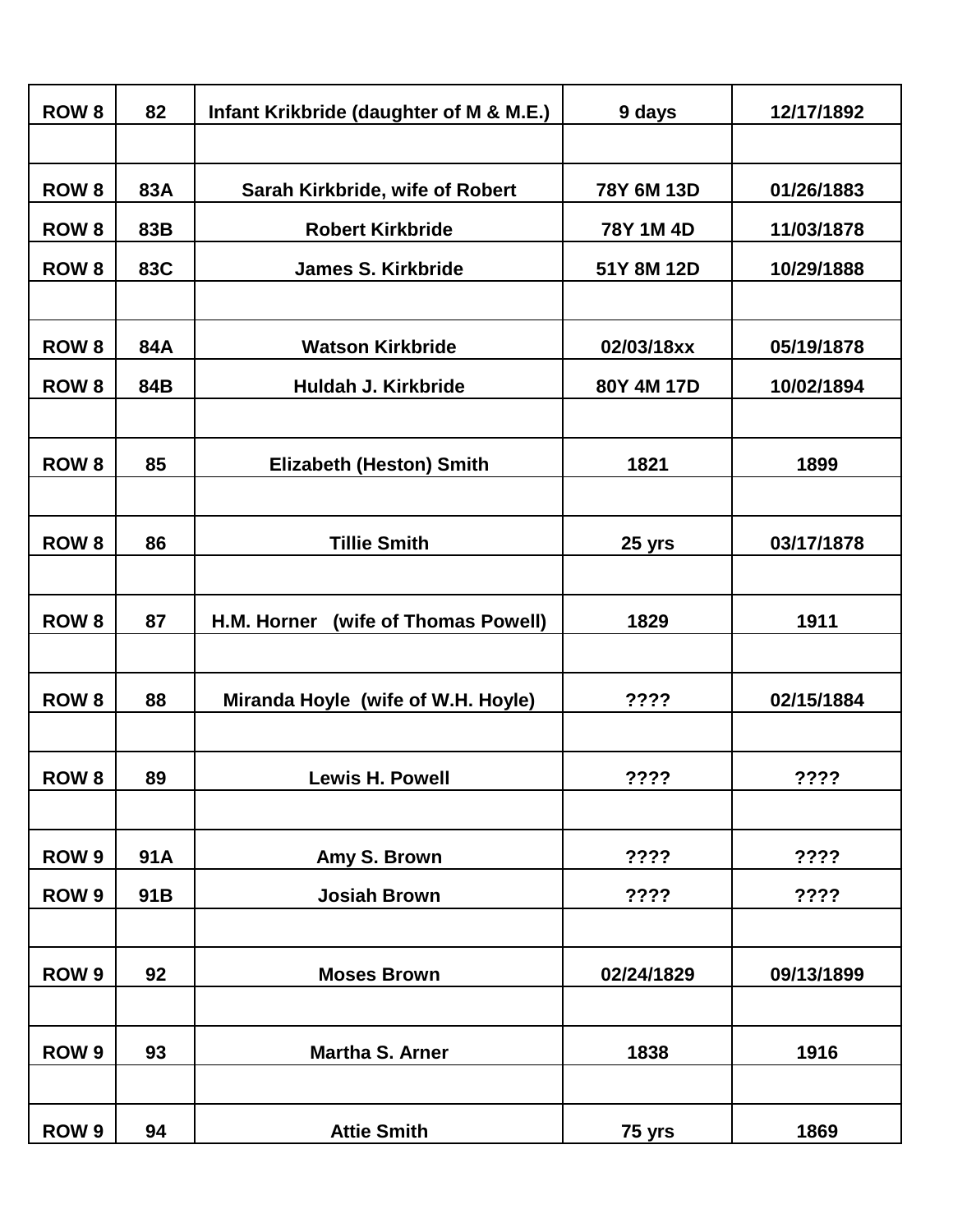| <b>ROW 8</b>     | 82  | Infant Krikbride (daughter of M & M.E.) | 9 days     | 12/17/1892 |
|------------------|-----|-----------------------------------------|------------|------------|
|                  |     |                                         |            |            |
| <b>ROW 8</b>     | 83A | Sarah Kirkbride, wife of Robert         | 78Y 6M 13D | 01/26/1883 |
| <b>ROW 8</b>     | 83B | <b>Robert Kirkbride</b>                 | 78Y 1M 4D  | 11/03/1878 |
| <b>ROW 8</b>     | 83C | <b>James S. Kirkbride</b>               | 51Y 8M 12D | 10/29/1888 |
|                  |     |                                         |            |            |
| <b>ROW 8</b>     | 84A | <b>Watson Kirkbride</b>                 | 02/03/18xx | 05/19/1878 |
| <b>ROW 8</b>     | 84B | Huldah J. Kirkbride                     | 80Y 4M 17D | 10/02/1894 |
|                  |     |                                         |            |            |
| <b>ROW 8</b>     | 85  | <b>Elizabeth (Heston) Smith</b>         | 1821       | 1899       |
|                  |     |                                         |            |            |
| <b>ROW 8</b>     | 86  | <b>Tillie Smith</b>                     | 25 yrs     | 03/17/1878 |
|                  |     |                                         |            |            |
| <b>ROW 8</b>     | 87  | H.M. Horner<br>(wife of Thomas Powell)  | 1829       | 1911       |
|                  |     |                                         |            |            |
| <b>ROW 8</b>     | 88  | Miranda Hoyle (wife of W.H. Hoyle)      | ????       | 02/15/1884 |
|                  |     |                                         |            |            |
| ROW <sub>8</sub> | 89  | <b>Lewis H. Powell</b>                  | ????       | ????       |
|                  |     |                                         |            |            |
| ROW <sub>9</sub> | 91A | Amy S. Brown                            | ????       | ????       |
| ROW <sub>9</sub> | 91B | <b>Josiah Brown</b>                     | ????       | ????       |
|                  |     |                                         |            |            |
| ROW <sub>9</sub> | 92  | <b>Moses Brown</b>                      | 02/24/1829 | 09/13/1899 |
|                  |     |                                         |            |            |
| ROW <sub>9</sub> | 93  | <b>Martha S. Arner</b>                  | 1838       | 1916       |
|                  |     |                                         |            |            |
| ROW <sub>9</sub> | 94  | <b>Attie Smith</b>                      | 75 yrs     | 1869       |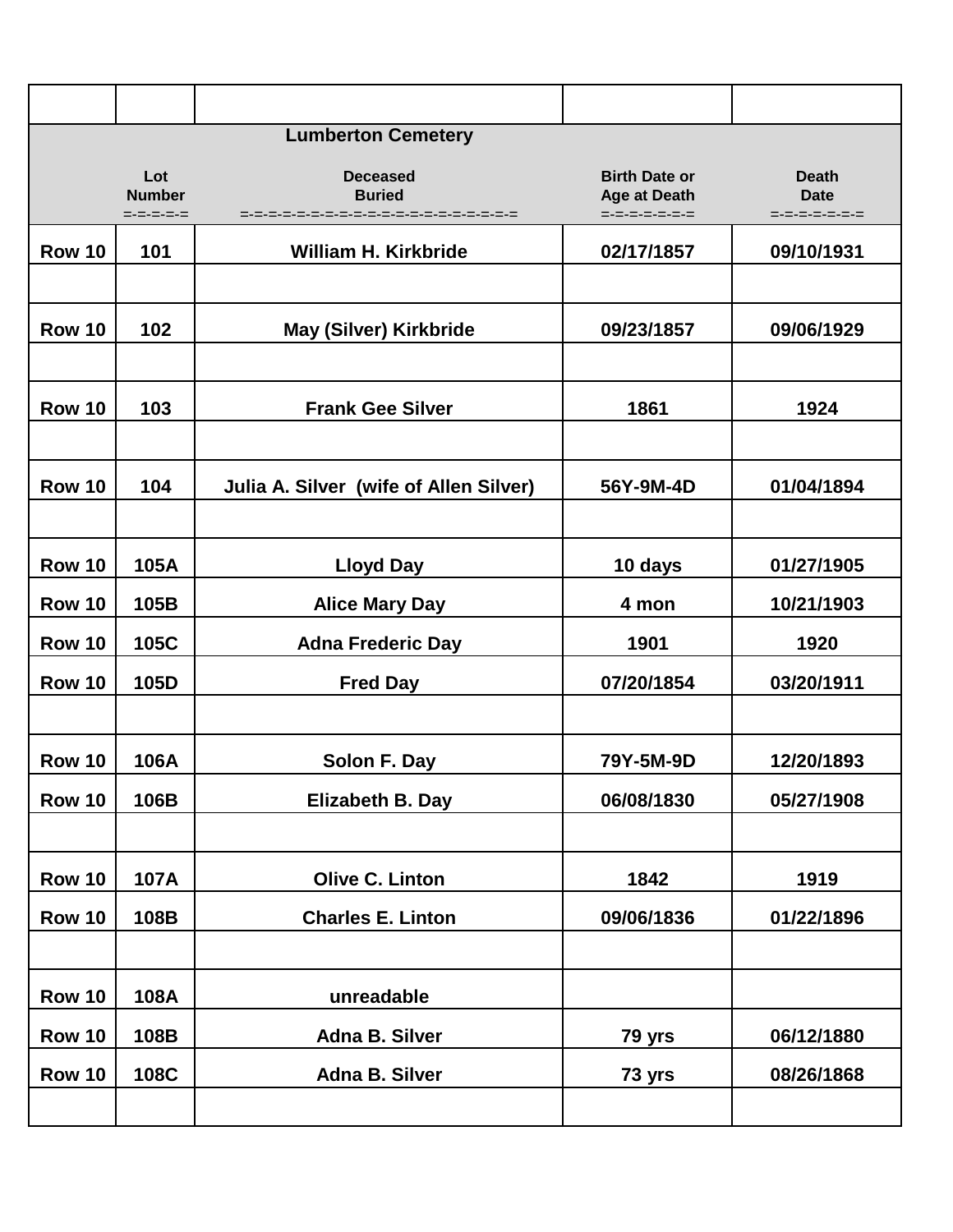|               |                                   | <b>Lumberton Cemetery</b>                                |                                                              |                                              |
|---------------|-----------------------------------|----------------------------------------------------------|--------------------------------------------------------------|----------------------------------------------|
|               | Lot<br><b>Number</b><br>=-=-=-=-= | <b>Deceased</b><br><b>Buried</b><br>-=-=-=-=-=-=-=-=-=-= | <b>Birth Date or</b><br><b>Age at Death</b><br>=-=-=-=-=-=-= | <b>Death</b><br><b>Date</b><br>=-=-=-=-=-=-= |
| <b>Row 10</b> | 101                               | <b>William H. Kirkbride</b>                              | 02/17/1857                                                   | 09/10/1931                                   |
| <b>Row 10</b> | 102                               | <b>May (Silver) Kirkbride</b>                            | 09/23/1857                                                   | 09/06/1929                                   |
| <b>Row 10</b> | 103                               | <b>Frank Gee Silver</b>                                  | 1861                                                         | 1924                                         |
| <b>Row 10</b> | 104                               | Julia A. Silver (wife of Allen Silver)                   | 56Y-9M-4D                                                    | 01/04/1894                                   |
| <b>Row 10</b> | 105A                              | <b>Lloyd Day</b>                                         | 10 days                                                      | 01/27/1905                                   |
| <b>Row 10</b> | 105B                              | <b>Alice Mary Day</b>                                    | 4 mon                                                        | 10/21/1903                                   |
| <b>Row 10</b> | 105C                              | <b>Adna Frederic Day</b>                                 | 1901                                                         | 1920                                         |
| <b>Row 10</b> | 105D                              | <b>Fred Day</b>                                          | 07/20/1854                                                   | 03/20/1911                                   |
| <b>Row 10</b> | 106A                              | Solon F. Day                                             | 79Y-5M-9D                                                    | 12/20/1893                                   |
| <b>Row 10</b> | 106B                              | Elizabeth B. Day                                         | 06/08/1830                                                   | 05/27/1908                                   |
| <b>Row 10</b> | 107A                              | <b>Olive C. Linton</b>                                   | 1842                                                         | 1919                                         |
| <b>Row 10</b> | 108B                              | <b>Charles E. Linton</b>                                 | 09/06/1836                                                   | 01/22/1896                                   |
| <b>Row 10</b> | 108A                              | unreadable                                               |                                                              |                                              |
| <b>Row 10</b> | 108B                              | <b>Adna B. Silver</b>                                    | 79 yrs                                                       | 06/12/1880                                   |
| <b>Row 10</b> | 108C                              | Adna B. Silver                                           | 73 yrs                                                       | 08/26/1868                                   |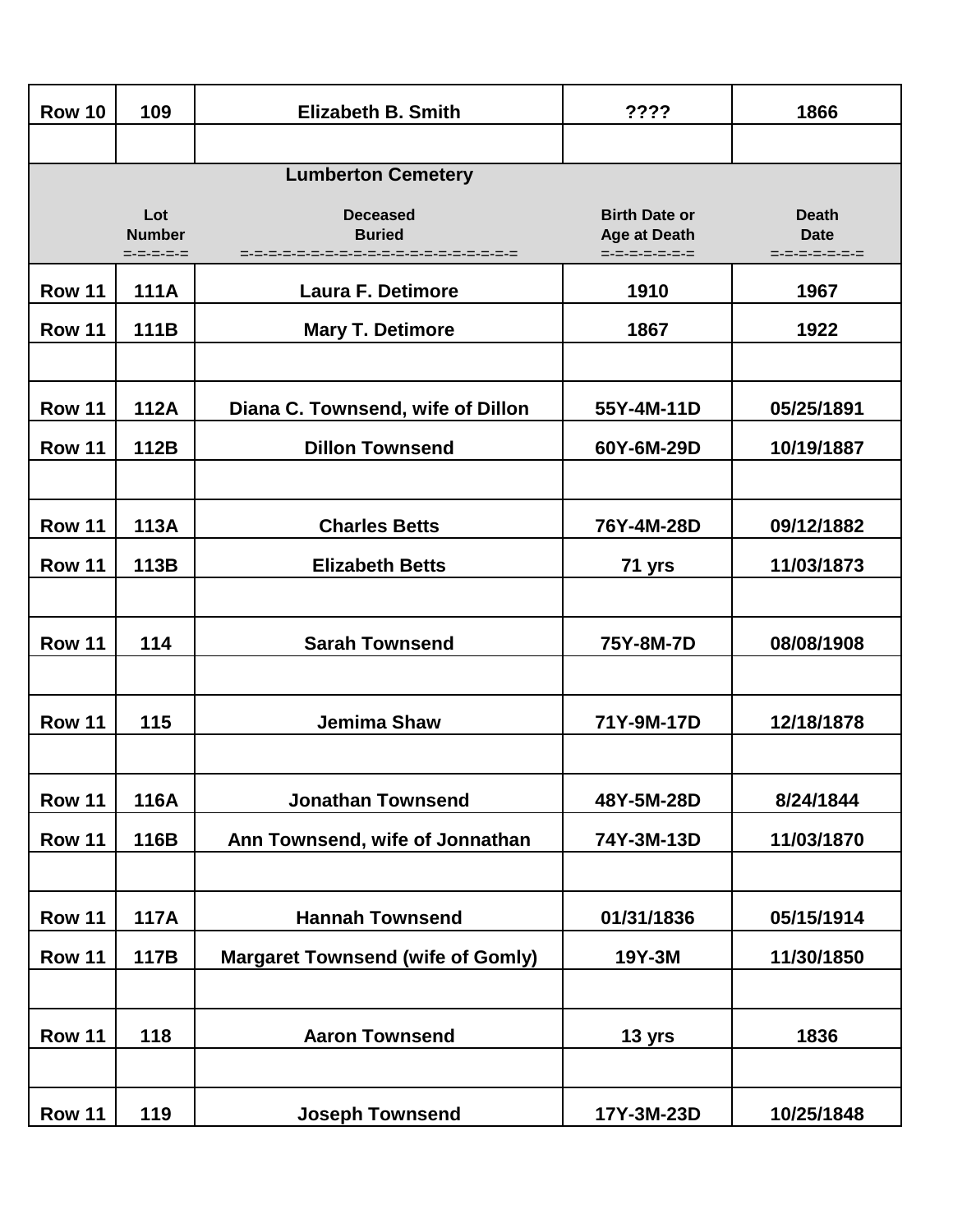| <b>Row 10</b> | 109                               | <b>Elizabeth B. Smith</b>                | ????                                                         | 1866                                         |
|---------------|-----------------------------------|------------------------------------------|--------------------------------------------------------------|----------------------------------------------|
|               |                                   |                                          |                                                              |                                              |
|               |                                   | <b>Lumberton Cemetery</b>                |                                                              |                                              |
|               | Lot<br><b>Number</b><br>=-=-=-=-= | <b>Deceased</b><br><b>Buried</b>         | <b>Birth Date or</b><br><b>Age at Death</b><br>=-=-=-=-=-=-= | <b>Death</b><br><b>Date</b><br>=-=-=-=-=-=-= |
| <b>Row 11</b> | <b>111A</b>                       | <b>Laura F. Detimore</b>                 | 1910                                                         | 1967                                         |
| <b>Row 11</b> | 111B                              | <b>Mary T. Detimore</b>                  | 1867                                                         | 1922                                         |
|               |                                   |                                          |                                                              |                                              |
| <b>Row 11</b> | <b>112A</b>                       | Diana C. Townsend, wife of Dillon        | 55Y-4M-11D                                                   | 05/25/1891                                   |
| <b>Row 11</b> | 112B                              | <b>Dillon Townsend</b>                   | 60Y-6M-29D                                                   | 10/19/1887                                   |
|               |                                   |                                          |                                                              |                                              |
| <b>Row 11</b> | <b>113A</b>                       | <b>Charles Betts</b>                     | 76Y-4M-28D                                                   | 09/12/1882                                   |
| <b>Row 11</b> | 113B                              | <b>Elizabeth Betts</b>                   | 71 yrs                                                       | 11/03/1873                                   |
|               |                                   |                                          |                                                              |                                              |
| <b>Row 11</b> | 114                               | <b>Sarah Townsend</b>                    | 75Y-8M-7D                                                    | 08/08/1908                                   |
|               |                                   |                                          |                                                              |                                              |
| <b>Row 11</b> | 115                               | <b>Jemima Shaw</b>                       | 71Y-9M-17D                                                   | 12/18/1878                                   |
|               |                                   |                                          |                                                              |                                              |
| <b>Row 11</b> | 116A                              | <b>Jonathan Townsend</b>                 | 48Y-5M-28D                                                   | 8/24/1844                                    |
| <b>Row 11</b> | 116B                              | Ann Townsend, wife of Jonnathan          | 74Y-3M-13D                                                   | 11/03/1870                                   |
|               |                                   |                                          |                                                              |                                              |
| <b>Row 11</b> | <b>117A</b>                       | <b>Hannah Townsend</b>                   | 01/31/1836                                                   | 05/15/1914                                   |
| <b>Row 11</b> | 117B                              | <b>Margaret Townsend (wife of Gomly)</b> | 19Y-3M                                                       | 11/30/1850                                   |
|               |                                   |                                          |                                                              |                                              |
| <b>Row 11</b> | 118                               | <b>Aaron Townsend</b>                    | 13 yrs                                                       | 1836                                         |
|               |                                   |                                          |                                                              |                                              |
| <b>Row 11</b> | 119                               | <b>Joseph Townsend</b>                   | 17Y-3M-23D                                                   | 10/25/1848                                   |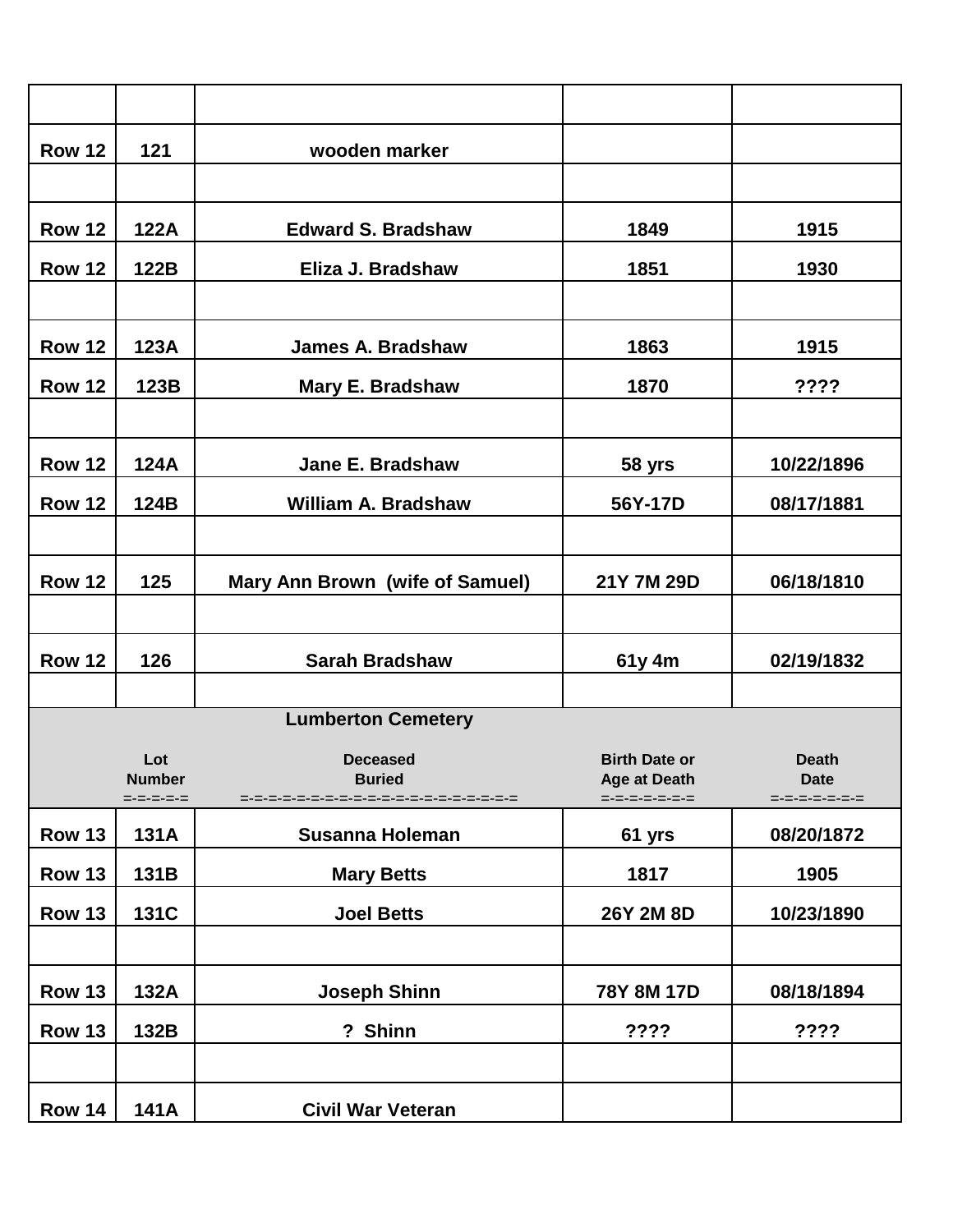| <b>Row 12</b> | 121                                       | wooden marker                    |                                                              |                                              |
|---------------|-------------------------------------------|----------------------------------|--------------------------------------------------------------|----------------------------------------------|
|               |                                           |                                  |                                                              |                                              |
| <b>Row 12</b> | 122A                                      | <b>Edward S. Bradshaw</b>        | 1849                                                         | 1915                                         |
| <b>Row 12</b> | 122B                                      | Eliza J. Bradshaw                | 1851                                                         | 1930                                         |
|               |                                           |                                  |                                                              |                                              |
| <b>Row 12</b> | 123A                                      | <b>James A. Bradshaw</b>         | 1863                                                         | 1915                                         |
| <b>Row 12</b> | 123B                                      | Mary E. Bradshaw                 | 1870                                                         | ????                                         |
|               |                                           |                                  |                                                              |                                              |
| <b>Row 12</b> | 124A                                      | Jane E. Bradshaw                 | 58 yrs                                                       | 10/22/1896                                   |
| <b>Row 12</b> | 124B                                      | <b>William A. Bradshaw</b>       | 56Y-17D                                                      | 08/17/1881                                   |
|               |                                           |                                  |                                                              |                                              |
| <b>Row 12</b> | 125                                       | Mary Ann Brown (wife of Samuel)  | 21Y 7M 29D                                                   | 06/18/1810                                   |
|               |                                           |                                  |                                                              |                                              |
| <b>Row 12</b> | 126                                       | <b>Sarah Bradshaw</b>            | 61y 4m                                                       | 02/19/1832                                   |
|               |                                           |                                  |                                                              |                                              |
|               |                                           | <b>Lumberton Cemetery</b>        |                                                              |                                              |
|               | Lot<br><b>Number</b><br>$= - = - = - = -$ | <b>Deceased</b><br><b>Buried</b> | <b>Birth Date or</b><br><b>Age at Death</b><br>=-=-=-=-=-=-= | <b>Death</b><br><b>Date</b><br>=-=-=-=-=-=-= |
| <b>Row 13</b> | 131A                                      | <b>Susanna Holeman</b>           | 61 yrs                                                       | 08/20/1872                                   |
| <b>Row 13</b> | 131B                                      | <b>Mary Betts</b>                | 1817                                                         | 1905                                         |
| <b>Row 13</b> | 131C                                      | <b>Joel Betts</b>                | 26Y 2M 8D                                                    | 10/23/1890                                   |
|               |                                           |                                  |                                                              |                                              |
| <b>Row 13</b> | 132A                                      | <b>Joseph Shinn</b>              | 78Y 8M 17D                                                   | 08/18/1894                                   |
| <b>Row 13</b> | 132B                                      | ? Shinn                          | ????                                                         | ????                                         |
|               |                                           |                                  |                                                              |                                              |
| <b>Row 14</b> | 141A                                      | <b>Civil War Veteran</b>         |                                                              |                                              |